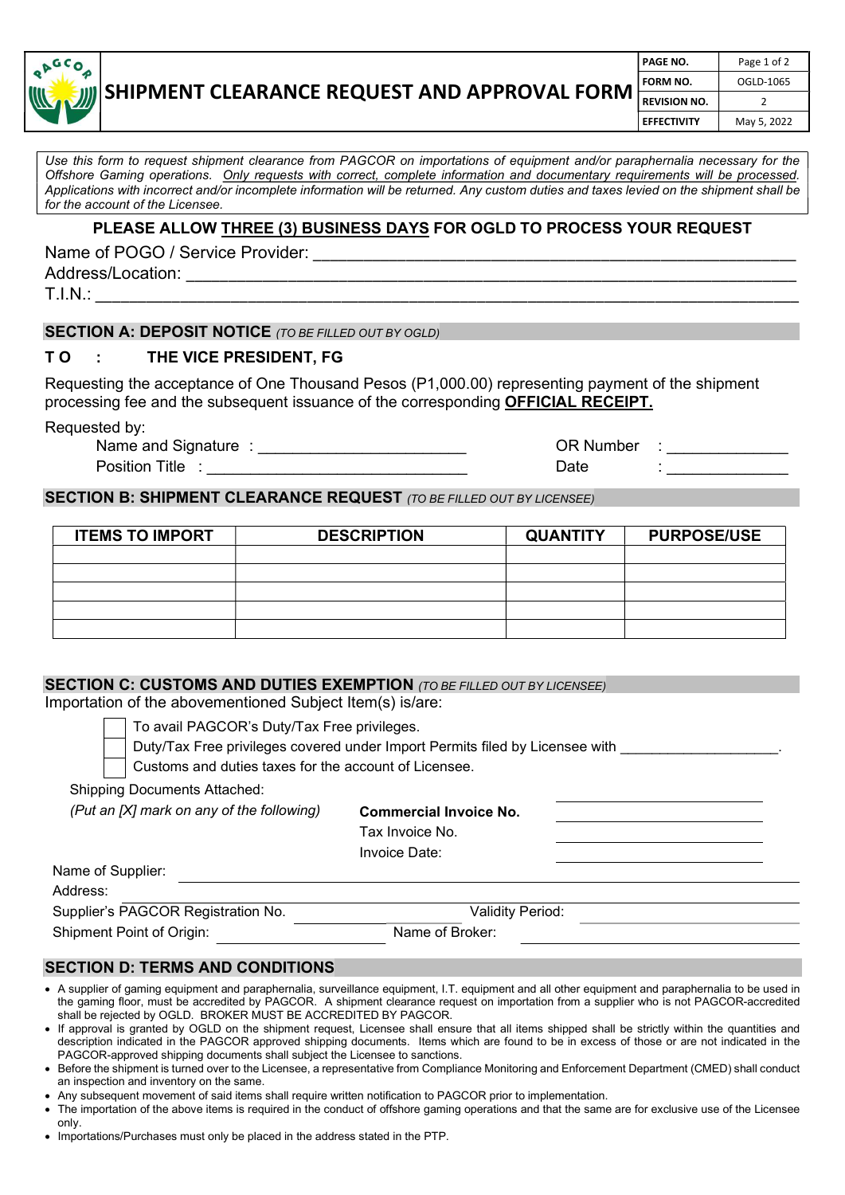

# SHIPMENT CLEARANCE REQUEST AND APPROVAL FORM

| PAGE NO.            | Page 1 of 2 |
|---------------------|-------------|
| FORM NO.            | OGLD-1065   |
| <b>REVISION NO.</b> | 2           |
| <b>EFFECTIVITY</b>  | May 5, 2022 |
|                     |             |

Use this form to request shipment clearance from PAGCOR on importations of equipment and/or paraphernalia necessary for the Offshore Gaming operations. Only requests with correct, complete information and documentary requirements will be processed. Applications with incorrect and/or incomplete information will be returned. Any custom duties and taxes levied on the shipment shall be for the account of the Licensee.

### PLEASE ALLOW THREE (3) BUSINESS DAYS FOR OGLD TO PROCESS YOUR REQUEST

Name of POGO / Service Provider:

Address/Location: \_\_\_\_\_\_\_\_\_\_\_\_\_\_\_\_\_\_\_\_\_\_\_\_\_\_\_\_\_\_\_\_\_\_\_\_\_\_\_\_\_\_\_\_\_\_\_\_\_\_\_\_\_\_\_\_\_\_\_\_\_\_\_\_\_\_\_\_\_\_\_\_

T.I.N.: \_\_\_\_\_\_\_\_\_\_\_\_\_\_\_\_\_\_\_\_\_\_\_\_\_\_\_\_\_\_\_\_\_\_\_\_\_\_\_\_\_\_\_\_\_\_\_\_\_\_\_\_\_\_\_\_\_\_\_\_\_\_\_\_\_\_\_\_\_\_\_\_\_\_\_\_\_\_\_\_\_\_\_

### SECTION A: DEPOSIT NOTICE (TO BE FILLED OUT BY OGLD)

### TO : THE VICE PRESIDENT, FG

Requesting the acceptance of One Thousand Pesos (P1,000.00) representing payment of the shipment processing fee and the subsequent issuance of the corresponding OFFICIAL RECEIPT.

Requested by:

Name and Signature : etc. All and Signature : etc. All and Signature :  $OR$  Number : Position Title : \_\_\_\_\_\_\_\_\_\_\_\_\_\_\_\_\_\_\_\_\_\_\_\_\_\_\_\_\_\_ Date : \_\_\_\_\_\_\_\_\_\_\_\_\_\_

# SECTION B: SHIPMENT CLEARANCE REQUEST (TO BE FILLED OUT BY LICENSEE)

| <b>ITEMS TO IMPORT</b> | <b>DESCRIPTION</b> | <b>QUANTITY</b> | <b>PURPOSE/USE</b> |
|------------------------|--------------------|-----------------|--------------------|
|                        |                    |                 |                    |
|                        |                    |                 |                    |
|                        |                    |                 |                    |
|                        |                    |                 |                    |
|                        |                    |                 |                    |

#### SECTION C: CUSTOMS AND DUTIES EXEMPTION (TO BE FILLED OUT BY LICENSEE)

Importation of the abovementioned Subject Item(s) is/are:

To avail PAGCOR's Duty/Tax Free privileges.

Duty/Tax Free privileges covered under Import Permits filed by Licensee with  $\blacksquare$ 

Customs and duties taxes for the account of Licensee.

Shipping Documents Attached:

|  |  |  |  |  | (Put an [X] mark on any of the following) |
|--|--|--|--|--|-------------------------------------------|
|--|--|--|--|--|-------------------------------------------|

Commercial Invoice No.

Tax Invoice No.

Invoice Date: Name of Supplier: Address: Supplier's PAGCOR Registration No. Validity Period: Shipment Point of Origin: Name of Broker:

# SECTION D: TERMS AND CONDITIONS

- A supplier of gaming equipment and paraphernalia, surveillance equipment, I.T. equipment and all other equipment and paraphernalia to be used in the gaming floor, must be accredited by PAGCOR. A shipment clearance request on importation from a supplier who is not PAGCOR-accredited shall be rejected by OGLD. BROKER MUST BE ACCREDITED BY PAGCOR.
- If approval is granted by OGLD on the shipment request, Licensee shall ensure that all items shipped shall be strictly within the quantities and description indicated in the PAGCOR approved shipping documents. Items which are found to be in excess of those or are not indicated in the PAGCOR-approved shipping documents shall subject the Licensee to sanctions.
- Before the shipment is turned over to the Licensee, a representative from Compliance Monitoring and Enforcement Department (CMED) shall conduct an inspection and inventory on the same.
- Any subsequent movement of said items shall require written notification to PAGCOR prior to implementation.
- The importation of the above items is required in the conduct of offshore gaming operations and that the same are for exclusive use of the Licensee only.
- Importations/Purchases must only be placed in the address stated in the PTP.